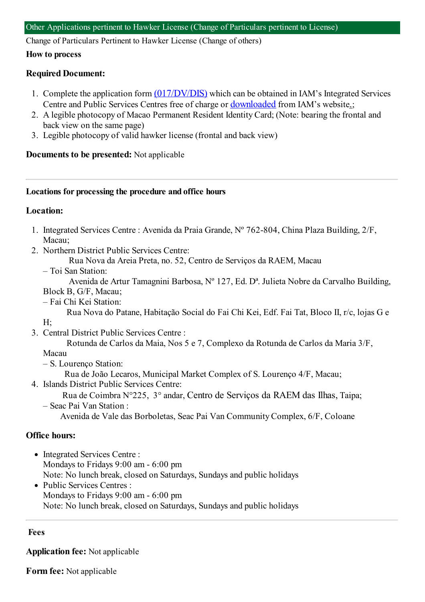Change of Particulars Pertinent to Hawker License (Change of others)

#### **How to process**

## **Required Document:**

- 1. Complete the application form  $(017/DV/DIS)$  which can be obtained in IAM's Integrated Services Centre and Public Services Centres free of charge or [downloaded](https://app.iam.gov.mo/iameform/download?id=1214) from IAM's website.;
- 2. A legible photocopy of Macao Permanent Resident Identity Card; (Note: bearing the frontal and back view on the same page)
- 3. Legible photocopy of valid hawker license (frontal and back view)

## **Documents to be presented:** Not applicable

#### **Locations for processing the procedure and office hours**

## **Location:**

- 1. Integrated Services Centre : Avenida da Praia Grande, Nº 762-804, China Plaza Building, 2/F, Macau;
- 2. Northern District Public Services Centre:
	- Rua Nova da Areia Preta, no. 52, Centro de Serviços da RAEM, Macau
	- Toi San Station:

Avenida de Artur Tamagnini Barbosa, Nº 127, Ed. Dª. Julieta Nobre da Carvalho Building, Block B, G/F, Macau;

– Fai Chi Kei Station:

Rua Nova do Patane, Habitação Social do Fai Chi Kei, Edf. Fai Tat, Bloco II, r/c, lojas G e

3. Central District Public Services Centre :

Rotunda de Carlos da Maia, Nos 5 e 7, Complexo da Rotunda de Carlos da Maria 3/F,

## Macau

H;

– S. Lourenço Station:

Rua de João Lecaros, Municipal Market Complex of S. Lourenço 4/F, Macau;

- 4. Islands District Public Services Centre:
	- Rua de Coimbra N°225, 3° andar, Centro de Serviços da RAEM das Ilhas, Taipa; – Seac Pai Van Station :
		- Avenida de Vale das Borboletas, Seac Pai Van Community Complex, 6/F, Coloane

# **Office hours:**

- Integrated Services Centre : Mondays to Fridays 9:00 am - 6:00 pm Note: No lunch break, closed on Saturdays, Sundays and public holidays
- Public Services Centres : Mondays to Fridays 9:00 am - 6:00 pm Note: No lunch break, closed on Saturdays, Sundays and public holidays

## **Fees**

**Application fee:** Not applicable

**Form fee:** Not applicable